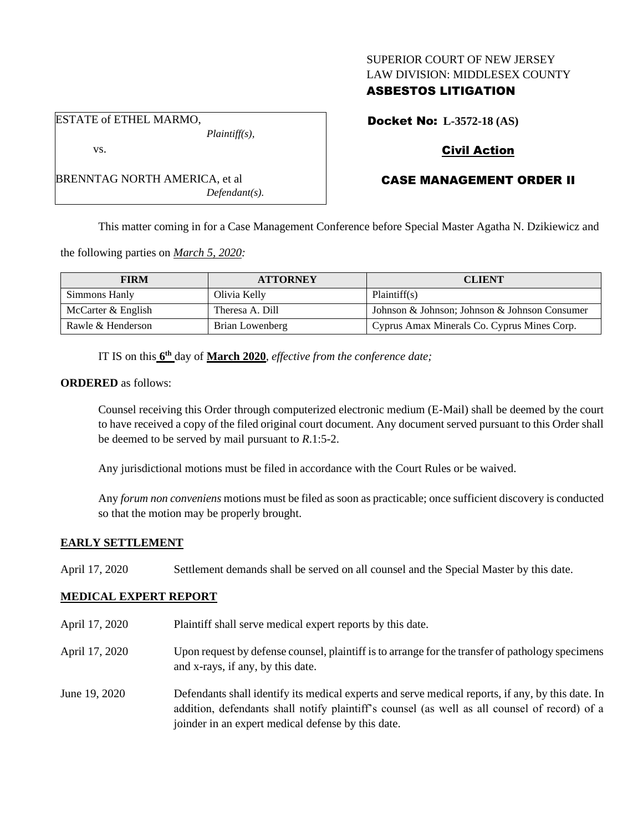## SUPERIOR COURT OF NEW JERSEY LAW DIVISION: MIDDLESEX COUNTY

# ASBESTOS LITIGATION

Docket No: **L-3572-18 (AS)**

# Civil Action

# CASE MANAGEMENT ORDER II

This matter coming in for a Case Management Conference before Special Master Agatha N. Dzikiewicz and

the following parties on *March 5, 2020:*

BRENNTAG NORTH AMERICA, et al

| <b>FIRM</b>        | <b>ATTORNEY</b> | <b>CLIENT</b>                                 |
|--------------------|-----------------|-----------------------------------------------|
| Simmons Hanly      | Olivia Kelly    | Plaintiff(s)                                  |
| McCarter & English | Theresa A. Dill | Johnson & Johnson; Johnson & Johnson Consumer |
| Rawle & Henderson  | Brian Lowenberg | Cyprus Amax Minerals Co. Cyprus Mines Corp.   |

IT IS on this **6 th** day of **March 2020**, *effective from the conference date;*

*Defendant(s).*

### **ORDERED** as follows:

Counsel receiving this Order through computerized electronic medium (E-Mail) shall be deemed by the court to have received a copy of the filed original court document. Any document served pursuant to this Order shall be deemed to be served by mail pursuant to *R*.1:5-2.

Any jurisdictional motions must be filed in accordance with the Court Rules or be waived.

Any *forum non conveniens* motions must be filed as soon as practicable; once sufficient discovery is conducted so that the motion may be properly brought.

# **EARLY SETTLEMENT**

April 17, 2020 Settlement demands shall be served on all counsel and the Special Master by this date.

# **MEDICAL EXPERT REPORT**

- April 17, 2020 Plaintiff shall serve medical expert reports by this date.
- April 17, 2020 Upon request by defense counsel, plaintiff is to arrange for the transfer of pathology specimens and x-rays, if any, by this date.
- June 19, 2020 Defendants shall identify its medical experts and serve medical reports, if any, by this date. In addition, defendants shall notify plaintiff's counsel (as well as all counsel of record) of a joinder in an expert medical defense by this date.

ESTATE of ETHEL MARMO, *Plaintiff(s),*

vs.